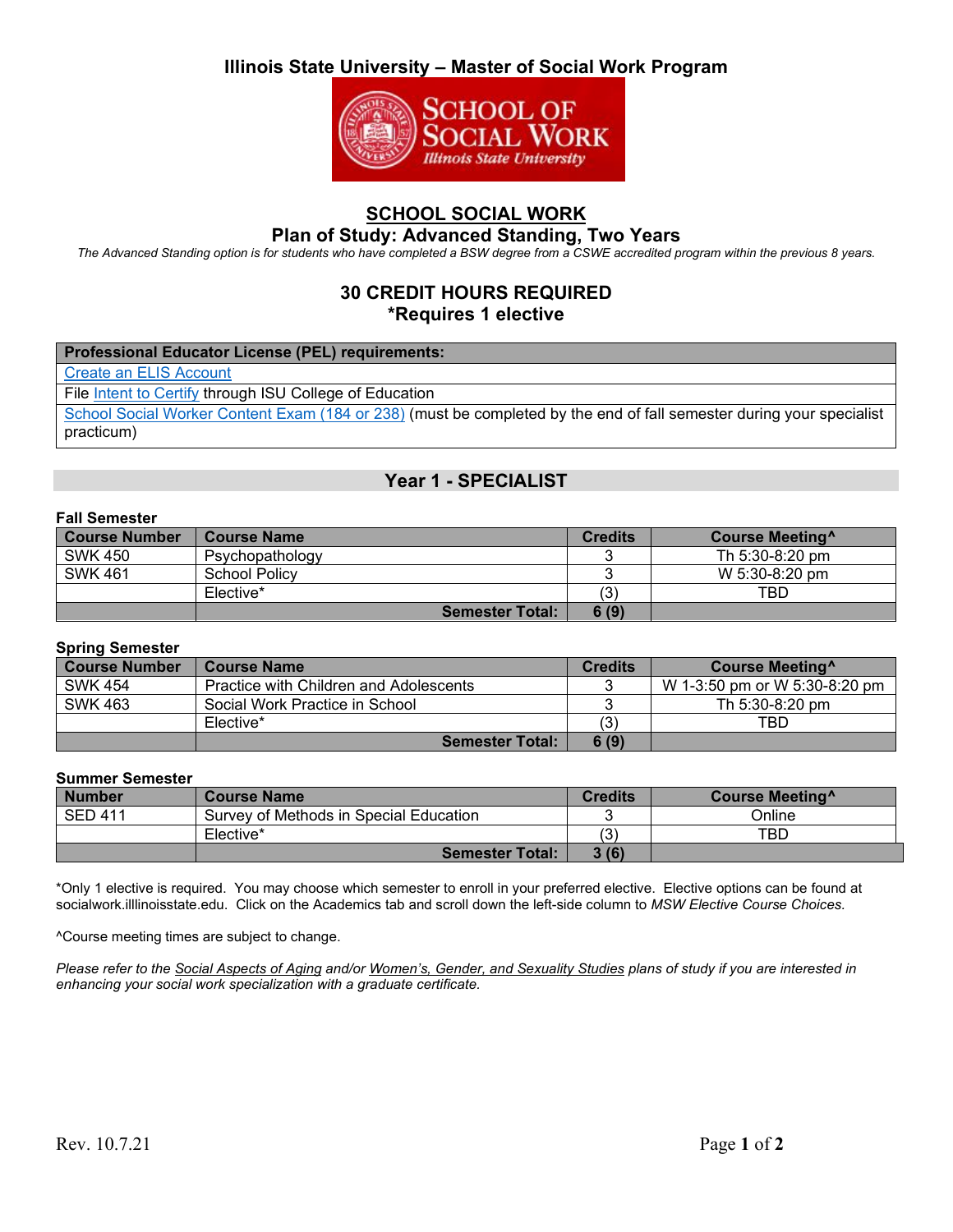# **Illinois State University – Master of Social Work Program**



## **SCHOOL SOCIAL WORK**

### **Plan of Study: Advanced Standing, Two Years**

*The Advanced Standing option is for students who have completed a BSW degree from a CSWE accredited program within the previous 8 years.*

### **30 CREDIT HOURS REQUIRED \*Requires 1 elective**

#### **Professional Educator License (PEL) requirements:**

[Create an ELIS Account](https://education.illinoisstate.edu/teacher/gateways/elis.php)

File [Intent to Certify](https://forms.illinoisstate.edu/forms/intent_to_file_for_licensure) through ISU College of Education

[School Social Worker Content Exam \(184 or 238\)](https://www.il.nesinc.com/TestView.aspx?f=HTML_FRAG/IL184_TestPage.html) (must be completed by the end of fall semester during your specialist practicum)

### **Year 1 - SPECIALIST**

#### **Fall Semester**

| <b>Course Number</b> | <b>Course Name</b>     | <b>Credits</b> | Course Meeting <sup>^</sup> |
|----------------------|------------------------|----------------|-----------------------------|
| <b>SWK 450</b>       | Psychopathology        |                | Th 5:30-8:20 pm             |
| <b>SWK 461</b>       | <b>School Policy</b>   |                | W 5:30-8:20 pm              |
|                      | Elective*              | '3)            | TBD                         |
|                      | <b>Semester Total:</b> | 6(9)           |                             |

### **Spring Semester**

| Course Number  | Course Name                            | <b>Credits</b> | Course Meeting <sup>^</sup>   |
|----------------|----------------------------------------|----------------|-------------------------------|
| <b>SWK 454</b> | Practice with Children and Adolescents |                | W 1-3:50 pm or W 5:30-8:20 pm |
| <b>SWK 463</b> | Social Work Practice in School         |                | Th 5:30-8:20 pm               |
|                | Elective*                              | '3)            | TBD                           |
|                | <b>Semester Total:</b>                 | 6(9)           |                               |

### **Summer Semester**

| <b>Number</b>  | <b>Course Name</b>                     | <b>Credits</b> | Course Meeting <sup>^</sup> |
|----------------|----------------------------------------|----------------|-----------------------------|
| <b>SED 411</b> | Survey of Methods in Special Education |                | つnline                      |
|                | Elective*                              | $\sim$         | TBD                         |
|                | <b>Semester Total:</b>                 | 3(6)           |                             |

\*Only 1 elective is required. You may choose which semester to enroll in your preferred elective. Elective options can be found at socialwork.illlinoisstate.edu. Click on the Academics tab and scroll down the left-side column to *MSW Elective Course Choices.*

^Course meeting times are subject to change.

*Please refer to the Social Aspects of Aging and/or Women's, Gender, and Sexuality Studies plans of study if you are interested in enhancing your social work specialization with a graduate certificate.*